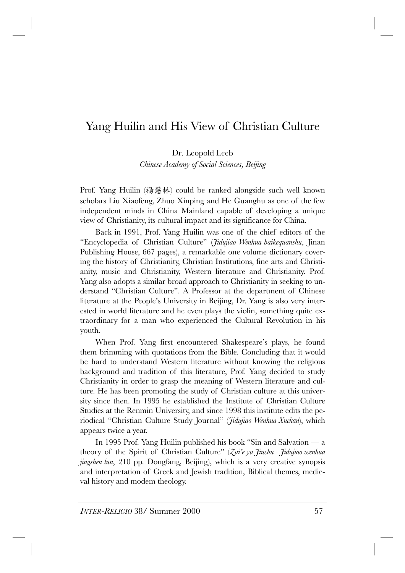## Yang Huilin and His View of Christian Culture

Dr. Leopold Leeb

*Chinese Academy of Social Sciences, Beijing*

Prof. Yang Huilin (楊慧林) could be ranked alongside such well known scholars Liu Xiaofeng, Zhuo Xinping and He Guanghu as one of the few independent minds in China Mainland capable of developing a unique view of Christianity, its cultural impact and its significance for China.

Back in 1991, Prof. Yang Huilin was one of the chief editors of the ìEncyclopedia of Christian Cultureî (*Jidujiao Wenhua baikequanshu*, Jinan Publishing House, 667 pages), a remarkable one volume dictionary covering the history of Christianity, Christian Institutions, fine arts and Christianity, music and Christianity, Western literature and Christianity. Prof. Yang also adopts a similar broad approach to Christianity in seeking to understand "Christian Culture". A Professor at the department of Chinese literature at the People's University in Beijing, Dr. Yang is also very interested in world literature and he even plays the violin, something quite extraordinary for a man who experienced the Cultural Revolution in his youth.

When Prof. Yang first encountered Shakespeare's plays, he found them brimming with quotations from the Bible. Concluding that it would be hard to understand Western literature without knowing the religious background and tradition of this literature, Prof. Yang decided to study Christianity in order to grasp the meaning of Western literature and culture. He has been promoting the study of Christian culture at this university since then. In 1995 he established the Institute of Christian Culture Studies at the Renmin University, and since 1998 this institute edits the periodical "Christian Culture Study Journal" (*Jidujiao Wenhua Xuekan*), which appears twice a year.

In 1995 Prof. Yang Huilin published his book "Sin and Salvation  $-a$ theory of the Spirit of Christian Culture" (*Zui'e yu Jiushu - Jidujiao wenhua jingshen lun*, 210 pp. Dongfang, Beijing), which is a very creative synopsis and interpretation of Greek and Jewish tradition, Biblical themes, medieval history and modem theology.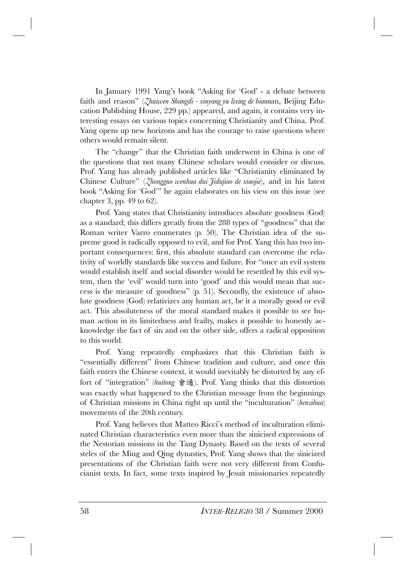In January 1991 Yang's book "Asking for 'God' - a debate between faith and reasonî (*Zhuiwen Shangdi - xinyang yu lixing de biann*an, Beijing Education Publishing House, 229 pp.) appeared, and again, it contains very interesting essays on various topics concerning Christianity and China. Prof. Yang opens up new horizons and has the courage to raise questions where others would remain silent.

The "change" that the Christian faith underwent in China is one of the questions that not many Chinese scholars would consider or discuss. Prof. Yang has already published articles like "Christianity eliminated by Chinese Cultureî (*Zhongguo wenhua dui Jidujiao de xiaojie*), and in his latest book "Asking for 'God'" he again elaborates on his view on this issue (see chapter 3, pp. 49 to 62).

Prof. Yang states that Christianity introduces absolute goodness (God) as a standard; this differs greatly from the 288 types of "goodness" that the Roman writer Varro enumerates (p. 50). The Christian idea of the supreme good is radically opposed to evil, and for Prof. Yang this has two important consequences: first, this absolute standard can overcome the relativity of worldly standards like success and failure. For "once an evil system would establish itself and social disorder would be resettled by this evil system, then the 'evil' would turn into 'good' and this would mean that success is the measure of goodnessî (p. 51). Secondly, the existence of absolute goodness (God) relativizes any human act, be it a morally good or evil act. This absoluteness of the moral standard makes it possible to see human action in its limitedness and frailty, makes it possible to honestly acknowledge the fact of sin and on the other side, offers a radical opposition to this world.

Prof. Yang repeatedly emphasizes that this Christian faith is "essentially different" from Chinese tradition and culture, and once this faith enters the Chinese context, it would inevitably be distorted by any effort of "integration" (*huitong* 會通). Prof. Yang thinks that this distortion was exactly what happened to the Christian message from the beginnings of Christian missions in China right up until the "inculturation" (*bensihua*) movements of the 20th century.

Prof. Yang believes that Matteo Ricci's method of inculturation eliminated Christian characteristics even more than the sinicised expressions of the Nestorian missions in the Tang Dynasty. Based on the texts of several steles of the Ming and Qing dynasties, Prof. Yang shows that the sinicized presentations of the Christian faith were not very different from Confucianist texts. In fact, some texts inspired by Jesuit missionaries repeatedly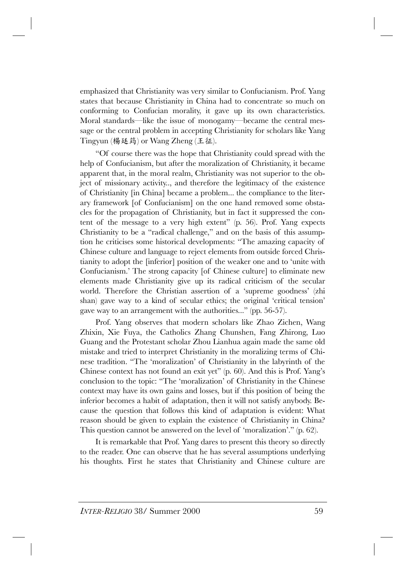emphasized that Christianity was very similar to Confucianism. Prof. Yang states that because Christianity in China had to concentrate so much on conforming to Confucian morality, it gave up its own characteristics. Moral standards—like the issue of monogamy—became the central message or the central problem in accepting Christianity for scholars like Yang Tingyun (楊廷筠) or Wang Zheng (王征).

ìOf course there was the hope that Christianity could spread with the help of Confucianism, but after the moralization of Christianity, it became apparent that, in the moral realm, Christianity was not superior to the object of missionary activity.., and therefore the legitimacy of the existence of Christianity [in China] became a problem... the compliance to the literary framework [of Confucianism] on the one hand removed some obstacles for the propagation of Christianity, but in fact it suppressed the content of the message to a very high extent"  $(p. 56)$ . Prof. Yang expects Christianity to be a "radical challenge," and on the basis of this assumption he criticises some historical developments: "The amazing capacity of Chinese culture and language to reject elements from outside forced Christianity to adopt the [inferior] position of the weaker one and to ëunite with Confucianism.<sup>†</sup> The strong capacity [of Chinese culture] to eliminate new elements made Christianity give up its radical criticism of the secular world. Therefore the Christian assertion of a 'supreme goodness' (zhi shan) gave way to a kind of secular ethics; the original 'critical tension' gave way to an arrangement with the authorities..." (pp. 56-57).

Prof. Yang observes that modern scholars like Zhao Zichen, Wang Zhixin, Xie Fuya, the Catholics Zhang Chunshen, Fang Zhirong, Luo Guang and the Protestant scholar Zhou Lianhua again made the same old mistake and tried to interpret Christianity in the moralizing terms of Chinese tradition. "The 'moralization' of Christianity in the labyrinth of the Chinese context has not found an exit yet"  $(p. 60)$ . And this is Prof. Yang's conclusion to the topic: "The 'moralization' of Christianity in the Chinese context may have its own gains and losses, but if this position of being the inferior becomes a habit of adaptation, then it will not satisfy anybody. Because the question that follows this kind of adaptation is evident: What reason should be given to explain the existence of Christianity in China? This question cannot be answered on the level of 'moralization'."  $(p. 62)$ .

It is remarkable that Prof. Yang dares to present this theory so directly to the reader. One can observe that he has several assumptions underlying his thoughts. First he states that Christianity and Chinese culture are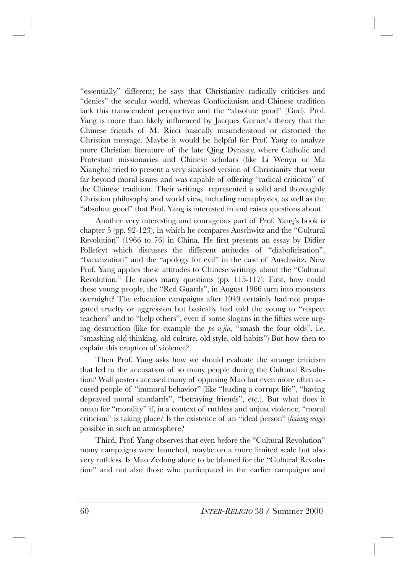"essentially" different; he says that Christianity radically criticises and ìdeniesî the secular world, whereas Confucianism and Chinese tradition lack this transcendent perspective and the "absolute good" (God). Prof. Yang is more than likely influenced by Jacques Gernet's theory that the Chinese friends of M. Ricci basically misunderstood or distorted the Christian message. Maybe it would be helpful for Prof. Yang to analyze more Christian literature of the late Qing Dynasty, where Catholic and Protestant missionaries and Chinese scholars (like Li Wenyu or Ma Xiangbo) tried to present a very sinicised version of Christianity that went far beyond moral issues and was capable of offering "radical criticism" of the Chinese tradition. Their writings represented a solid and thoroughly Christian philosophy and world view, including metaphysics, as well as the "absolute good" that Prof. Yang is interested in and raises questions about.

Another very interesting and courageous part of Prof. Yang's book is chapter 5 (pp.  $92-123$ ), in which he compares Auschwitz and the "Cultural" Revolution" (1966 to 76) in China. He first presents an essay by Didier Pollefeyt which discusses the different attitudes of "diabolicisation", "banalization" and the "apology for evil" in the case of Auschwitz. Now Prof. Yang applies these attitudes to Chinese writings about the "Cultural" Revolution." He raises many questions (pp. 115-117): First, how could these young people, the "Red Guards", in August 1966 turn into monsters overnight? The education campaigns after 1949 certainly had not propagated cruelty or aggression but basically had told the young to "respect" teachers" and to "help others", even if some slogans in the fifties were urging destruction (like for example the  $po \, si \, jiu$ , "smash the four olds", i.e. "smashing old thinking, old culture, old style, old habits") But how then to explain this eruption of violence?

Then Prof. Yang asks how we should evaluate the strange criticism that led to the accusation of so many people during the Cultural Revolution? Wall posters accused many of opposing Mao but even more often accused people of "immoral behavior" (like "leading a corrupt life", "having depraved moral standards", "betraying friends", etc.). But what does it mean for "morality" if, in a context of ruthless and unjust violence, "moral criticism" is taking place? Is the existence of an "ideal person" *(lixiang renge*) possible in such an atmosphere?

Third, Prof. Yang observes that even before the "Cultural Revolution" many campaigns were launched, maybe on a more limited scale but also very ruthless. Is Mao Zedong alone to be blamed for the "Cultural Revolutionî and not also those who participated in the earlier campaigns and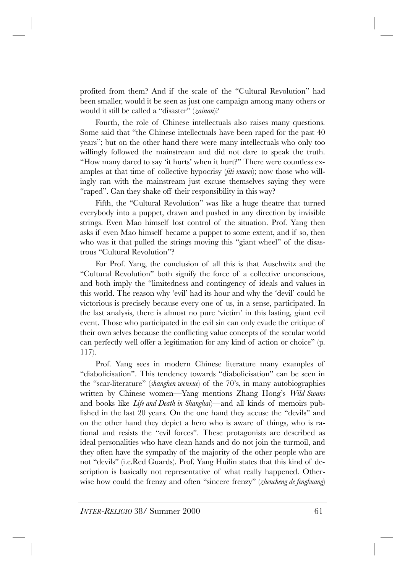profited from them? And if the scale of the "Cultural Revolution" had been smaller, would it be seen as just one campaign among many others or would it still be called a "disaster" (*zainan*)?

Fourth, the role of Chinese intellectuals also raises many questions. Some said that "the Chinese intellectuals have been raped for the past 40 years"; but on the other hand there were many intellectuals who only too willingly followed the mainstream and did not dare to speak the truth. "How many dared to say 'it hurts' when it hurt?" There were countless examples at that time of collective hypocrisy (*jiti xuwei*); now those who willingly ran with the mainstream just excuse themselves saying they were "raped". Can they shake off their responsibility in this way?

Fifth, the "Cultural Revolution" was like a huge theatre that turned everybody into a puppet, drawn and pushed in any direction by invisible strings. Even Mao himself lost control of the situation. Prof. Yang then asks if even Mao himself became a puppet to some extent, and if so, then who was it that pulled the strings moving this "giant wheel" of the disastrous "Cultural Revolution"?

For Prof. Yang, the conclusion of all this is that Auschwitz and the ìCultural Revolutionî both signify the force of a collective unconscious, and both imply the "limitedness and contingency of ideals and values in this world. The reason why 'evil' had its hour and why the 'devil' could be victorious is precisely because every one of us, in a sense, participated. In the last analysis, there is almost no pure 'victim' in this lasting, giant evil event. Those who participated in the evil sin can only evade the critique of their own selves because the conflicting value concepts of the secular world can perfectly well offer a legitimation for any kind of action or choice" (p. 117).

Prof. Yang sees in modern Chinese literature many examples of "diabolicisation". This tendency towards "diabolicisation" can be seen in the "scar-literature" *(shanghen wenxue)* of the 70's, in many autobiographies written by Chinese women<sup>-</sup>Yang mentions Zhang Hong's *Wild Swans* and books like *Life and Death in Shanghai*)—and all kinds of memoirs published in the last 20 years. On the one hand they accuse the "devils" and on the other hand they depict a hero who is aware of things, who is rational and resists the "evil forces". These protagonists are described as ideal personalities who have clean hands and do not join the turmoil, and they often have the sympathy of the majority of the other people who are not "devils" (i.e.Red Guards). Prof. Yang Huilin states that this kind of description is basically not representative of what really happened. Otherwise how could the frenzy and often "sincere frenzy" (*zhencheng de fengkuang*)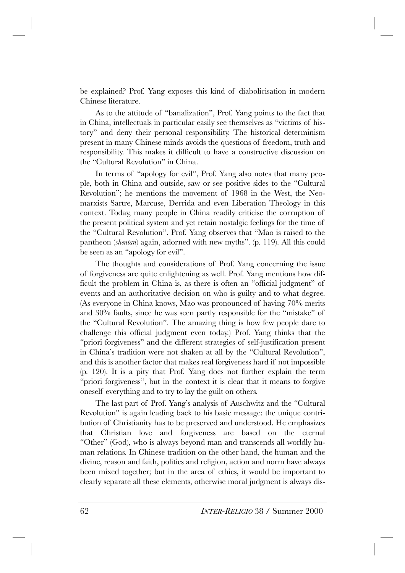be explained? Prof. Yang exposes this kind of diabolicisation in modern Chinese literature.

As to the attitude of "banalization", Prof. Yang points to the fact that in China, intellectuals in particular easily see themselves as "victims of history" and deny their personal responsibility. The historical determinism present in many Chinese minds avoids the questions of freedom, truth and responsibility. This makes it difficult to have a constructive discussion on the "Cultural Revolution" in China.

In terms of "apology for evil", Prof. Yang also notes that many people, both in China and outside, saw or see positive sides to the "Cultural" Revolution"; he mentions the movement of 1968 in the West, the Neomarxists Sartre, Marcuse, Derrida and even Liberation Theology in this context. Today, many people in China readily criticise the corruption of the present political system and yet retain nostalgic feelings for the time of the "Cultural Revolution". Prof. Yang observes that "Mao is raised to the pantheon *(shentan)* again, adorned with new myths". (p. 119). All this could be seen as an "apology for evil".

The thoughts and considerations of Prof. Yang concerning the issue of forgiveness are quite enlightening as well. Prof. Yang mentions how difficult the problem in China is, as there is often an "official judgment" of events and an authoritative decision on who is guilty and to what degree. (As everyone in China knows, Mao was pronounced of having 70% merits and  $30\%$  faults, since he was seen partly responsible for the "mistake" of the "Cultural Revolution". The amazing thing is how few people dare to challenge this official judgment even today.) Prof. Yang thinks that the "priori forgiveness" and the different strategies of self-justification present in China's tradition were not shaken at all by the "Cultural Revolution", and this is another factor that makes real forgiveness hard if not impossible (p. 120). It is a pity that Prof. Yang does not further explain the term "priori forgiveness", but in the context it is clear that it means to forgive oneself everything and to try to lay the guilt on others.

The last part of Prof. Yang's analysis of Auschwitz and the "Cultural" Revolution" is again leading back to his basic message: the unique contribution of Christianity has to be preserved and understood. He emphasizes that Christian love and forgiveness are based on the eternal ìOtherî (God), who is always beyond man and transcends all worldly human relations. In Chinese tradition on the other hand, the human and the divine, reason and faith, politics and religion, action and norm have always been mixed together; but in the area of ethics, it would be important to clearly separate all these elements, otherwise moral judgment is always dis-